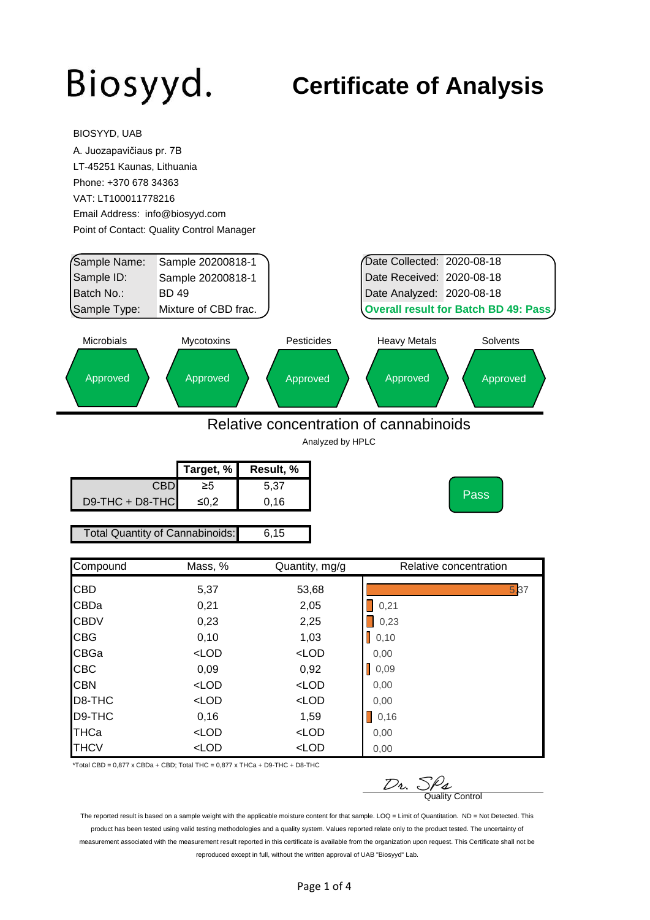BIOSYYD, UAB

#### **Certificate of Analysis**

| A. Juozapavičiaus pr. 7B        |                                           |                  |                                             |      |
|---------------------------------|-------------------------------------------|------------------|---------------------------------------------|------|
| LT-45251 Kaunas, Lithuania      |                                           |                  |                                             |      |
| Phone: +370 678 34363           |                                           |                  |                                             |      |
| VAT: LT100011778216             |                                           |                  |                                             |      |
| Email Address: info@biosyyd.com |                                           |                  |                                             |      |
|                                 | Point of Contact: Quality Control Manager |                  |                                             |      |
|                                 |                                           |                  |                                             |      |
| Sample Name:                    | Sample 20200818-1                         |                  | Date Collected: 2020-08-18                  |      |
| Sample ID:                      | Sample 20200818-1                         |                  | Date Received: 2020-08-18                   |      |
| Batch No.:                      | <b>BD 49</b>                              |                  | Date Analyzed: 2020-08-18                   |      |
| Sample Type:                    | Mixture of CBD frac.                      |                  | <b>Overall result for Batch BD 49: Pass</b> |      |
| Microbials                      | Mycotoxins                                | Pesticides       | <b>Heavy Metals</b><br>Solvents             |      |
|                                 | Approved                                  | Approved         | Approved<br>Approved                        |      |
| Approved                        |                                           |                  |                                             |      |
|                                 |                                           |                  |                                             |      |
|                                 |                                           |                  | Relative concentration of cannabinoids      |      |
|                                 |                                           | Analyzed by HPLC |                                             |      |
|                                 | Target, %                                 | Result, %        |                                             |      |
|                                 | <b>CBD</b><br>$\geq 5$                    | 5,37             |                                             |      |
| D9-THC + D8-THC                 | $≤0,2$                                    | 0,16             | <b>Pass</b>                                 |      |
|                                 |                                           |                  |                                             |      |
|                                 | <b>Total Quantity of Cannabinoids:</b>    | 6, 15            |                                             |      |
| Compound                        | Mass, %                                   | Quantity, mg/g   | Relative concentration                      |      |
| CBD                             | 5,37                                      | 53,68            |                                             | 5,37 |
| CBDa                            | 0,21                                      | 2,05             | 0,21                                        |      |
| CBDV                            | 0,23                                      | 2,25             | 0,23                                        |      |
| CBG                             | 0,10                                      | 1,03             | $\bigcup$ 0,10                              |      |
| CBGa                            | $<$ LOD                                   | $<$ LOD          | 0,00                                        |      |
| CBC                             | 0,09                                      | 0,92             | 0,09<br>L                                   |      |
| <b>CBN</b>                      | $<$ LOD                                   | $<$ LOD          | 0,00                                        |      |
|                                 | $<$ LOD                                   | $<$ LOD          | 0,00                                        |      |
| D8-THC<br>D9-THC                | 0,16                                      | 1,59             | $\bigtriangledown$ 0,16                     |      |
| THCa                            | $<$ LOD                                   | $<$ LOD          | 0,00                                        |      |

\*Total CBD =  $0,877$  x CBDa + CBD; Total THC =  $0,877$  x THCa + D9-THC + D8-THC

 $\n *D*$ *v.*  $\frac{S\rho_{\mathcal{L}}}{\text{Quality Control}}$ 

The reported result is based on a sample weight with the applicable moisture content for that sample. LOQ = Limit of Quantitation. ND = Not Detected. This product has been tested using valid testing methodologies and a quality system. Values reported relate only to the product tested. The uncertainty of measurement associated with the measurement result reported in this certificate is available from the organization upon request. This Certificate shall not be reproduced except in full, without the written approval of UAB "Biosyyd" Lab.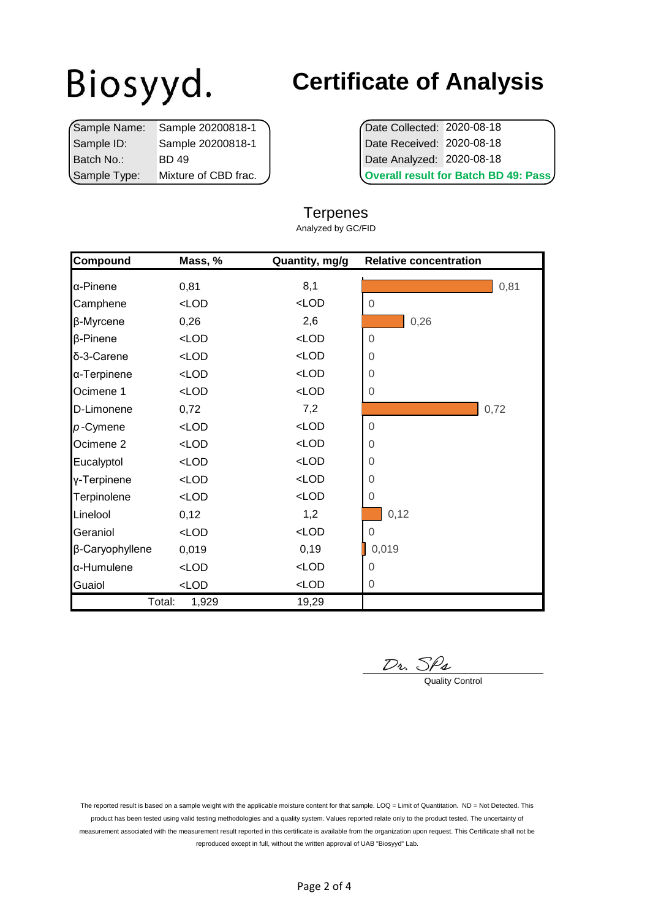|              | Sample Name: Sample 20200818-1 |  | Date Collected: 2020-08-18                  |
|--------------|--------------------------------|--|---------------------------------------------|
| Sample ID:   | Sample 20200818-1              |  | Date Received: 2020-08-18                   |
| l Batch No.: | BD 49                          |  | Date Analyzed: 2020-08-18                   |
| Sample Type: | Mixture of CBD frac.           |  | <b>Overall result for Batch BD 49: Pass</b> |

### **Certificate of Analysis**

|                            | Overall result for Batch BD 49: Pass |
|----------------------------|--------------------------------------|
| Date Analyzed: 2020-08-18  |                                      |
| Date Received: 2020-08-18  |                                      |
| Date Collected: 2020-08-18 |                                      |

#### **Terpenes**

Analyzed by GC/FID

| Compound             | Mass, % | Quantity, mg/g | <b>Relative concentration</b> |
|----------------------|---------|----------------|-------------------------------|
| α-Pinene             | 0,81    | 8,1            | 0,81                          |
| Camphene             | $<$ LOD | $<$ LOD        | $\Omega$                      |
| β-Myrcene            | 0,26    | 2,6            | 0,26                          |
| <b>β-Pinene</b>      | $<$ LOD | $<$ LOD        | $\Omega$                      |
| δ-3-Carene           | $<$ LOD | $<$ LOD        | $\Omega$                      |
| α-Terpinene          | $<$ LOD | $<$ LOD        | $\Omega$                      |
| Ocimene 1            | $<$ LOD | $<$ LOD        | $\Omega$                      |
| D-Limonene           | 0,72    | 7,2            | 0,72                          |
| $p$ -Cymene          | $<$ LOD | $<$ LOD        | $\mathbf 0$                   |
| Ocimene <sub>2</sub> | $<$ LOD | $<$ LOD        | $\overline{0}$                |
| Eucalyptol           | $<$ LOD | $<$ LOD        | 0                             |
| y-Terpinene          | $<$ LOD | $<$ LOD        | $\Omega$                      |
| Terpinolene          | $<$ LOD | $<$ LOD        | 0                             |
| Linelool             | 0,12    | 1,2            | 0,12                          |
| Geraniol             | $<$ LOD | $<$ LOD        | 0                             |
| β-Caryophyllene      | 0,019   | 0, 19          | 0,019                         |
| a-Humulene           | $<$ LOD | $<$ LOD        | $\Omega$                      |
| Guaiol               | $<$ LOD | $<$ LOD        | 0                             |
| Total:               | 1,929   | 19,29          |                               |

 $\n *D*$ <sub>2</sub>.  $S$  $\rho$ *<sub>4</sub>*  $\qquad \qquad$  Quality Control

The reported result is based on a sample weight with the applicable moisture content for that sample. LOQ = Limit of Quantitation. ND = Not Detected. This product has been tested using valid testing methodologies and a quality system. Values reported relate only to the product tested. The uncertainty of measurement associated with the measurement result reported in this certificate is available from the organization upon request. This Certificate shall not be reproduced except in full, without the written approval of UAB "Biosyyd" Lab.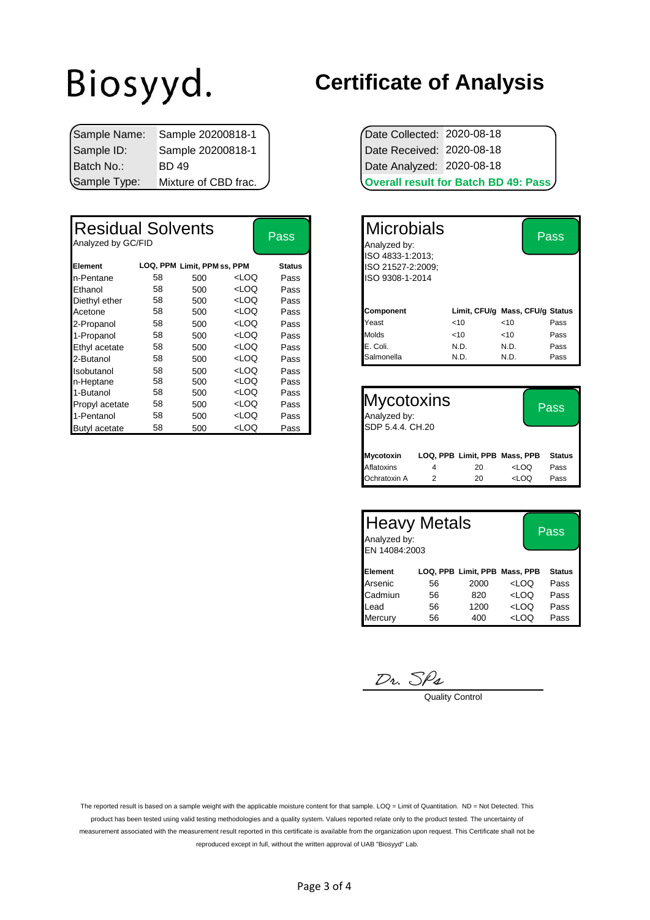|               | Sample Name: Sample 20200818-1 | Date Collected: 2020-08-18 |                                             |
|---------------|--------------------------------|----------------------------|---------------------------------------------|
| Sample ID:    | Sample 20200818-1              | Date Received: 2020-08-18  |                                             |
| l Batch No.:_ | BD 49                          | Date Analyzed: 2020-08-18  |                                             |
| Sample Type:  | Mixture of CBD frac.           |                            | <b>Overall result for Batch BD 49: Pass</b> |

| <b>Residual Solvents</b><br>Analyzed by GC/FID |    |                             |                                                                                                                     | <b>Pass</b>   | <b>Microbials</b><br>Analyzed by:<br>ISO 4833-1:2013; |      |      | <b>Pass</b>                     |
|------------------------------------------------|----|-----------------------------|---------------------------------------------------------------------------------------------------------------------|---------------|-------------------------------------------------------|------|------|---------------------------------|
| Element                                        |    | LOQ, PPM Limit, PPM ss, PPM |                                                                                                                     | <b>Status</b> | ISO 21527-2:2009;                                     |      |      |                                 |
| n-Pentane                                      | 58 | 500                         | <loq< td=""><td>Pass</td><td>ISO 9308-1-2014</td><td></td><td></td><td></td></loq<>                                 | Pass          | ISO 9308-1-2014                                       |      |      |                                 |
| Ethanol                                        | 58 | 500                         | <loq< td=""><td>Pass</td><td></td><td></td><td></td><td></td></loq<>                                                | Pass          |                                                       |      |      |                                 |
| Diethyl ether                                  | 58 | 500                         | <loq< td=""><td>Pass</td><td></td><td></td><td></td><td></td></loq<>                                                | Pass          |                                                       |      |      |                                 |
| Acetone                                        | 58 | 500                         | <loq< td=""><td>Pass</td><td><b>Component</b></td><td></td><td></td><td>Limit, CFU/g Mass, CFU/g Status</td></loq<> | Pass          | <b>Component</b>                                      |      |      | Limit, CFU/g Mass, CFU/g Status |
| 2-Propanol                                     | 58 | 500                         | <loq< td=""><td>Pass</td><td>Yeast</td><td>&lt; 10</td><td>&lt; 10</td><td>Pass</td></loq<>                         | Pass          | Yeast                                                 | < 10 | < 10 | Pass                            |
| 1-Propanol                                     | 58 | 500                         | <loq< td=""><td>Pass</td><td><b>Molds</b></td><td>&lt; 10</td><td>&lt; 10</td><td>Pass</td></loq<>                  | Pass          | <b>Molds</b>                                          | < 10 | < 10 | Pass                            |
| Ethyl acetate                                  | 58 | 500                         | <loq< td=""><td>Pass</td><td>E. Coli.</td><td>N.D.</td><td>N.D.</td><td>Pass</td></loq<>                            | Pass          | E. Coli.                                              | N.D. | N.D. | Pass                            |
| 2-Butanol                                      | 58 | 500                         | <loq< td=""><td>Pass</td><td>Salmonella</td><td>N.D.</td><td>N.D.</td><td>Pass</td></loq<>                          | Pass          | Salmonella                                            | N.D. | N.D. | Pass                            |
| Isobutanol                                     | 58 | 500                         | <loq< td=""><td>Pass</td><td></td><td></td><td></td><td></td></loq<>                                                | Pass          |                                                       |      |      |                                 |
| n-Heptane                                      | 58 | 500                         | <loq< td=""><td>Pass</td><td></td><td></td><td></td><td></td></loq<>                                                | Pass          |                                                       |      |      |                                 |
| 1-Butanol                                      | 58 | 500                         | <loq< td=""><td>Pass</td><td></td><td></td><td></td><td></td></loq<>                                                | Pass          |                                                       |      |      |                                 |
| Propyl acetate                                 | 58 | 500                         | <loq< td=""><td>Pass</td><td><b>Mycotoxins</b></td><td></td><td></td><td>Pass</td></loq<>                           | Pass          | <b>Mycotoxins</b>                                     |      |      | Pass                            |
| 1-Pentanol                                     | 58 | 500                         | <loq< td=""><td>Pass</td><td>Analyzed by:</td><td></td><td></td><td></td></loq<>                                    | Pass          | Analyzed by:                                          |      |      |                                 |
| <b>Butyl</b> acetate                           | 58 | 500                         | <loq< td=""><td>Pass</td><td>SDP 5.4.4. CH.20</td><td></td><td></td><td></td></loq<>                                | Pass          | SDP 5.4.4. CH.20                                      |      |      |                                 |

#### **Certificate of Analysis**

| Date Collected: 2020-08-18 |                                             |
|----------------------------|---------------------------------------------|
| Date Received: 2020-08-18  |                                             |
| Date Analyzed: 2020-08-18  |                                             |
|                            | <b>Overall result for Batch BD 49: Pass</b> |

| Pass          | <b>Microbials</b><br>Analyzed by:     |      |                                 | Pass |
|---------------|---------------------------------------|------|---------------------------------|------|
| <b>Status</b> | ISO 4833-1:2013;<br>ISO 21527-2:2009; |      |                                 |      |
|               |                                       |      |                                 |      |
| Pass          | ISO 9308-1-2014                       |      |                                 |      |
| Pass          |                                       |      |                                 |      |
| Pass          |                                       |      |                                 |      |
| Pass          | <b>Component</b>                      |      | Limit, CFU/g Mass, CFU/g Status |      |
| Pass          | Yeast                                 | < 10 | $<$ 10                          | Pass |
| Pass          | <b>Molds</b>                          | <10  | <10                             | Pass |
| Pass          | E. Coli.                              | N.D. | N.D.                            | Pass |
| Pass          | Salmonella                            | N.D. | N.D.                            | Pass |
|               |                                       |      |                                 |      |

| <b>Mycotoxins</b><br>Analyzed by:<br>SDP 5.4.4, CH.20 |   | <b>Pass</b>                   |                                  |               |
|-------------------------------------------------------|---|-------------------------------|----------------------------------|---------------|
| <b>Mycotoxin</b>                                      |   | LOQ, PPB Limit, PPB Mass, PPB |                                  | <b>Status</b> |
| Aflatoxins                                            | 4 | 20                            | <loq< td=""><td>Pass</td></loq<> | Pass          |
| Ochratoxin A                                          | 2 | 20                            | LOO                              | Pass          |

| <b>Heavy Metals</b><br>Analyzed by:<br>EN 14084:2003 |    | Pass |                                  |               |
|------------------------------------------------------|----|------|----------------------------------|---------------|
| Element                                              |    |      | LOQ, PPB Limit, PPB Mass, PPB    | <b>Status</b> |
| Arsenic                                              | 56 | 2000 | <loq< td=""><td>Pass</td></loq<> | Pass          |
| Cadmiun                                              | 56 | 820  | <loq< td=""><td>Pass</td></loq<> | Pass          |
| Lead                                                 | 56 | 1200 | $<$ LOQ                          | Pass          |
| Mercury                                              | 56 | 400  | <loq< td=""><td>Pass</td></loq<> | Pass          |

 $\frac{D_2}{D_3}$  Quality Control

The reported result is based on a sample weight with the applicable moisture content for that sample. LOQ = Limit of Quantitation. ND = Not Detected. This product has been tested using valid testing methodologies and a quality system. Values reported relate only to the product tested. The uncertainty of measurement associated with the measurement result reported in this certificate is available from the organization upon request. This Certificate shall not be reproduced except in full, without the written approval of UAB "Biosyyd" Lab.